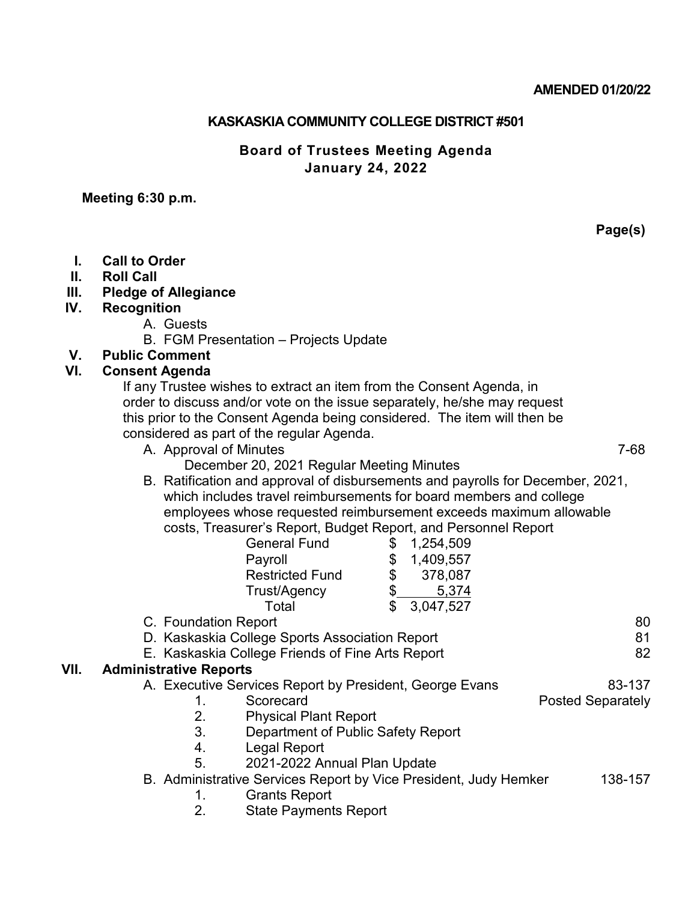### **AMENDED 01/20/22**

## **KASKASKIA COMMUNITY COLLEGE DISTRICT #501**

## **Board of Trustees Meeting Agenda January 24, 2022**

# **Meeting 6:30 p.m.**

|      | Page(s)                                                                        |
|------|--------------------------------------------------------------------------------|
| L.   | <b>Call to Order</b>                                                           |
| Ⅱ.   | <b>Roll Call</b>                                                               |
| III. | <b>Pledge of Allegiance</b>                                                    |
| IV.  | <b>Recognition</b>                                                             |
|      | A. Guests                                                                      |
|      | B. FGM Presentation - Projects Update                                          |
| V.   | <b>Public Comment</b>                                                          |
| VI.  | <b>Consent Agenda</b>                                                          |
|      | If any Trustee wishes to extract an item from the Consent Agenda, in           |
|      | order to discuss and/or vote on the issue separately, he/she may request       |
|      | this prior to the Consent Agenda being considered. The item will then be       |
|      | considered as part of the regular Agenda.                                      |
|      | A. Approval of Minutes<br>7-68                                                 |
|      | December 20, 2021 Regular Meeting Minutes                                      |
|      | B. Ratification and approval of disbursements and payrolls for December, 2021, |
|      | which includes travel reimbursements for board members and college             |
|      | employees whose requested reimbursement exceeds maximum allowable              |
|      | costs, Treasurer's Report, Budget Report, and Personnel Report                 |
|      | <b>General Fund</b><br>1,254,509<br>\$                                         |
|      | \$<br>1,409,557<br>Payroll                                                     |
|      | \$<br>378,087<br><b>Restricted Fund</b>                                        |
|      | 5,374<br>Trust/Agency                                                          |
|      | $\mathfrak{L}$<br>3,047,527<br>Total                                           |
|      | 80<br>C. Foundation Report                                                     |
|      | D. Kaskaskia College Sports Association Report<br>81                           |
|      | 82<br>E. Kaskaskia College Friends of Fine Arts Report                         |
| VII. | <b>Administrative Reports</b>                                                  |
|      | A. Executive Services Report by President, George Evans<br>83-137              |
|      | 1.<br><b>Posted Separately</b><br>Scorecard                                    |
|      | 2.<br><b>Physical Plant Report</b>                                             |
|      | 3.<br>Department of Public Safety Report                                       |
|      | 4.<br>Legal Report                                                             |
|      | 5.<br>2021-2022 Annual Plan Update                                             |
|      | B. Administrative Services Report by Vice President, Judy Hemker<br>138-157    |
|      | <b>Grants Report</b><br>1.                                                     |
|      | 2.<br><b>State Payments Report</b>                                             |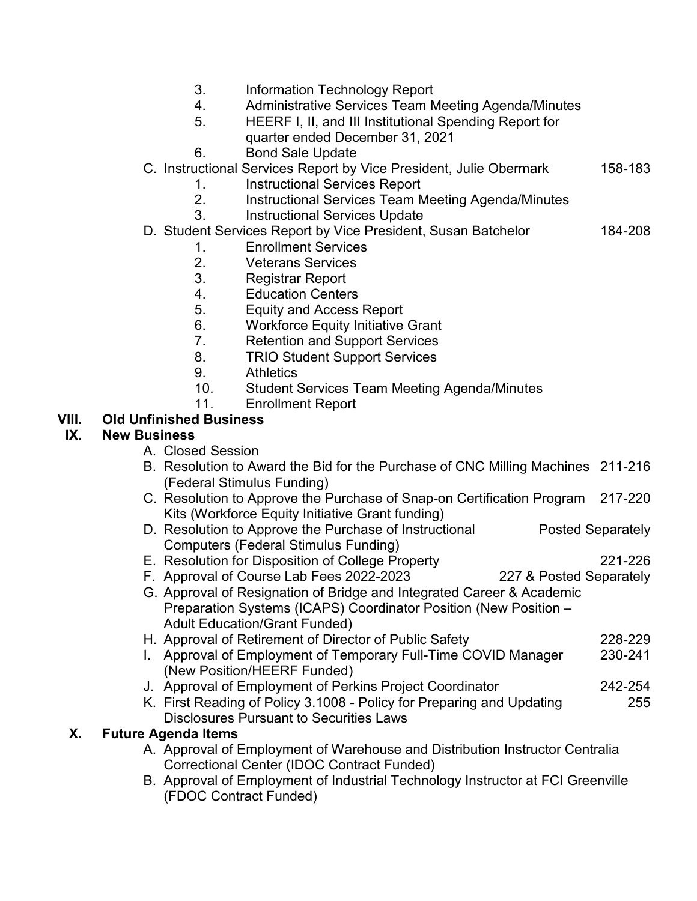- 3. Information Technology Report
- 4. Administrative Services Team Meeting Agenda/Minutes
	- 5. HEERF I, II, and III Institutional Spending Report for quarter ended December 31, 2021
	- 6. Bond Sale Update
- C. Instructional Services Report by Vice President, Julie Obermark 158-183
	- 1. Instructional Services Report
	- 2. Instructional Services Team Meeting Agenda/Minutes
	- 3. Instructional Services Update
- D. Student Services Report by Vice President, Susan Batchelor 184-208
	- 1. Enrollment Services
	- 2. Veterans Services
	- 3. Registrar Report
	- 4. Education Centers
	- 5. Equity and Access Report
	- 6. Workforce Equity Initiative Grant
	- 7. Retention and Support Services
	- 8. TRIO Student Support Services
	- 9. Athletics
	- 10. Student Services Team Meeting Agenda/Minutes
	- 11. Enrollment Report

### **VIII. Old Unfinished Business**

#### **IX. New Business**

- A. Closed Session
- B. Resolution to Award the Bid for the Purchase of CNC Milling Machines 211-216 (Federal Stimulus Funding)
- C. Resolution to Approve the Purchase of Snap-on Certification Program 217-220 Kits (Workforce Equity Initiative Grant funding)
- D. Resolution to Approve the Purchase of Instructional Posted Separately Computers (Federal Stimulus Funding)
- E. Resolution for Disposition of College Property 221-226
- F. Approval of Course Lab Fees 2022-2023 227 & Posted Separately
- G. Approval of Resignation of Bridge and Integrated Career & Academic Preparation Systems (ICAPS) Coordinator Position (New Position – Adult Education/Grant Funded)
- H. Approval of Retirement of Director of Public Safety 228-229
- I. Approval of Employment of Temporary Full-Time COVID Manager 230-241 (New Position/HEERF Funded)
- J. Approval of Employment of Perkins Project Coordinator 242-254
- K. First Reading of Policy 3.1008 Policy for Preparing and Updating 255 Disclosures Pursuant to Securities Laws

#### **X. Future Agenda Items**

- A. Approval of Employment of Warehouse and Distribution Instructor Centralia Correctional Center (IDOC Contract Funded)
- B. Approval of Employment of Industrial Technology Instructor at FCI Greenville (FDOC Contract Funded)